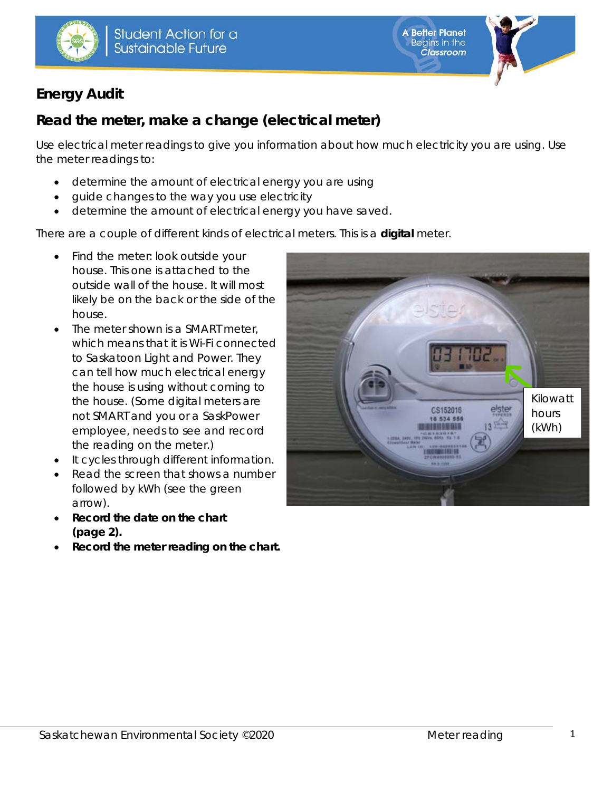





# **Energy Audit**

# **Read the meter, make a change (electrical meter)**

Use electrical meter readings to give you information about how much electricity you are using. Use the meter readings to:

- determine the amount of electrical energy you are using
- guide changes to the way you use electricity
- determine the amount of electrical energy you have saved.

There are a couple of different kinds of electrical meters. This is a **digital** meter.

- Find the meter: look outside your house. This one is attached to the outside wall of the house. It will most likely be on the back or the side of the house.
- The meter shown is a SMART meter. which means that it is Wi-Fi connected to Saskatoon Light and Power. They can tell how much electrical energy the house is using without coming to the house. (Some digital meters are not SMART and you or a SaskPower employee, needs to see and record the reading on the meter.)
- It cycles through different information.
- Read the screen that shows a number followed by kWh (see the green arrow).
- **Record the date on the chart (page 2).**
- **Record the meter reading on the chart.**

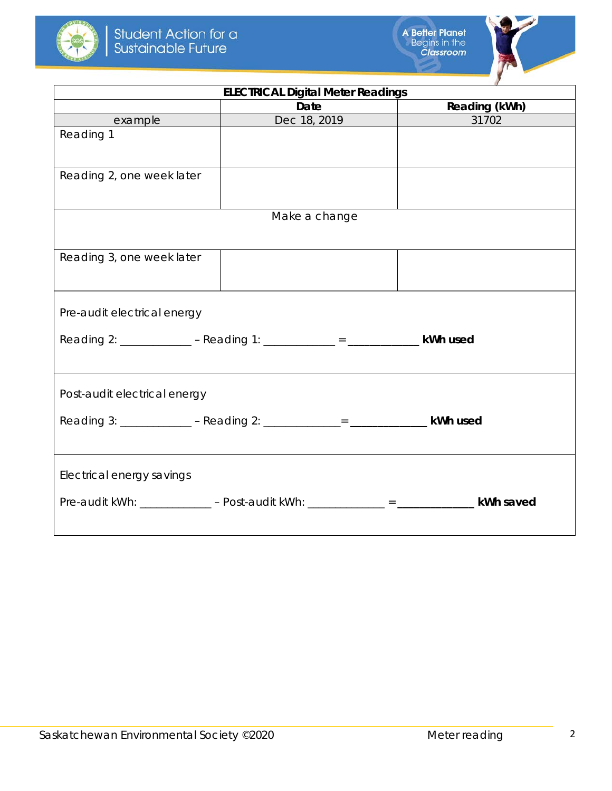



| <b>ELECTRICAL Digital Meter Readings</b>                                     |                                                                                           |               |  |  |  |  |  |
|------------------------------------------------------------------------------|-------------------------------------------------------------------------------------------|---------------|--|--|--|--|--|
|                                                                              | Date                                                                                      | Reading (kWh) |  |  |  |  |  |
| example                                                                      | Dec 18, 2019<br><u>and</u> the state                                                      | 31702         |  |  |  |  |  |
| Reading 1                                                                    |                                                                                           |               |  |  |  |  |  |
|                                                                              |                                                                                           |               |  |  |  |  |  |
| Reading 2, one week later                                                    |                                                                                           |               |  |  |  |  |  |
|                                                                              |                                                                                           |               |  |  |  |  |  |
|                                                                              |                                                                                           |               |  |  |  |  |  |
|                                                                              | Make a change                                                                             |               |  |  |  |  |  |
|                                                                              |                                                                                           |               |  |  |  |  |  |
| Reading 3, one week later                                                    |                                                                                           |               |  |  |  |  |  |
|                                                                              |                                                                                           |               |  |  |  |  |  |
|                                                                              |                                                                                           |               |  |  |  |  |  |
| Pre-audit electrical energy                                                  |                                                                                           |               |  |  |  |  |  |
|                                                                              |                                                                                           |               |  |  |  |  |  |
| Reading 2: _____________ - Reading 1: ____________ = ______________ kWh used |                                                                                           |               |  |  |  |  |  |
|                                                                              |                                                                                           |               |  |  |  |  |  |
| Post-audit electrical energy                                                 |                                                                                           |               |  |  |  |  |  |
|                                                                              |                                                                                           |               |  |  |  |  |  |
|                                                                              | Reading 3: _____________ - Reading 2: _____________= ________________ kWh used            |               |  |  |  |  |  |
|                                                                              |                                                                                           |               |  |  |  |  |  |
|                                                                              |                                                                                           |               |  |  |  |  |  |
| Electrical energy savings                                                    |                                                                                           |               |  |  |  |  |  |
|                                                                              | Pre-audit kWh: ____________ - Post-audit kWh: ___________ = ___________________ kWh saved |               |  |  |  |  |  |
|                                                                              |                                                                                           |               |  |  |  |  |  |
|                                                                              |                                                                                           |               |  |  |  |  |  |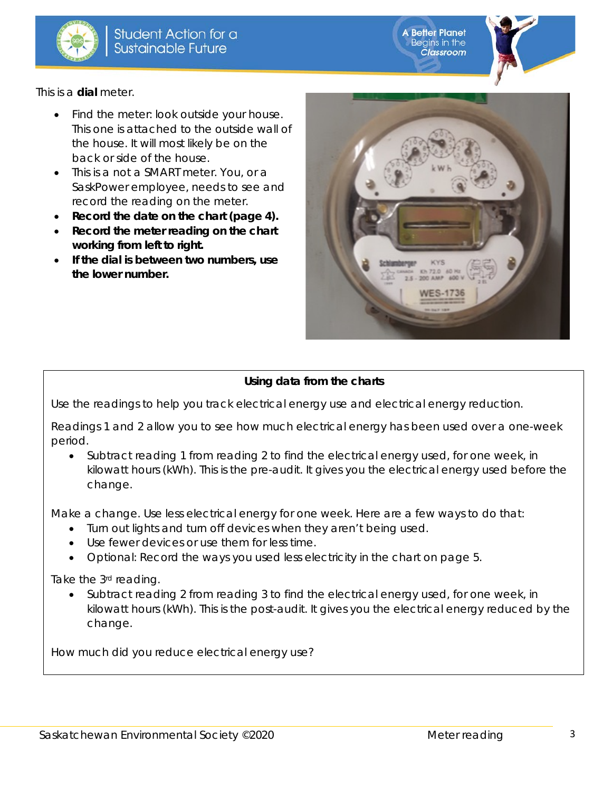

**Better Planet** Begins in the<br>Classroom

This is a **dial** meter.

- Find the meter: look outside your house. This one is attached to the outside wall of the house. It will most likely be on the back or side of the house.
- This is a not a SMART meter. You, or a SaskPower employee, needs to see and record the reading on the meter.
- **Record the date on the chart (page 4).**
- **Record the meter reading on the chart working from left to right.**
- **If the dial is between two numbers, use the lower number.**



#### **Using data from the charts**

Use the readings to help you track electrical energy use and electrical energy reduction.

Readings 1 and 2 allow you to see how much electrical energy has been used over a one-week period.

• Subtract reading 1 from reading 2 to find the electrical energy used, for one week, in kilowatt hours (kWh). This is the pre-audit. It gives you the electrical energy used before the change.

Make a change. Use less electrical energy for one week. Here are a few ways to do that:

- Turn out lights and turn off devices when they aren't being used.
- Use fewer devices or use them for less time.
- *Optional:* Record the ways you used less electricity in the chart on page 5.

Take the 3<sup>rd</sup> reading.

• Subtract reading 2 from reading 3 to find the electrical energy used, for one week, in kilowatt hours (kWh). This is the post-audit. It gives you the electrical energy reduced by the change.

How much did you reduce electrical energy use?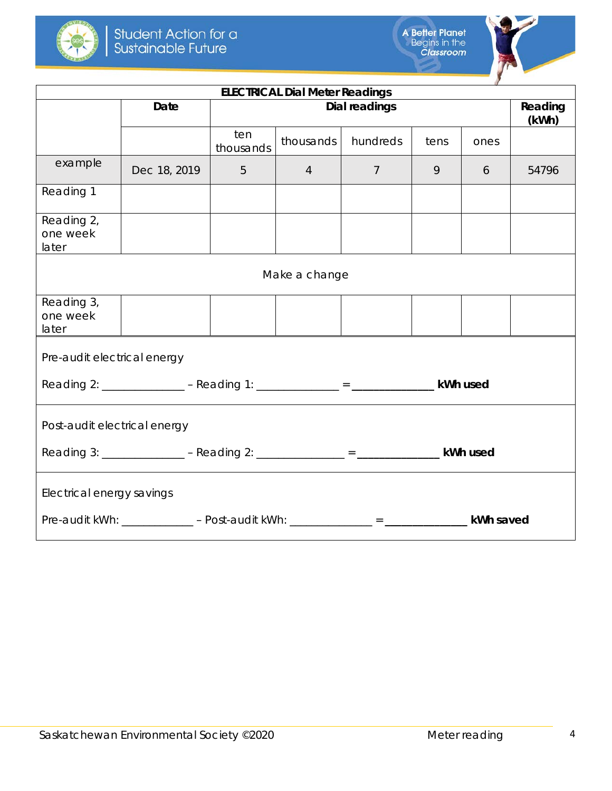



| <b>ELECTRICAL Dial Meter Readings</b>                                                      |              |                      |           |                |      |      |                  |
|--------------------------------------------------------------------------------------------|--------------|----------------------|-----------|----------------|------|------|------------------|
|                                                                                            | <b>Date</b>  | <b>Dial readings</b> |           |                |      |      | Reading<br>(kWh) |
|                                                                                            |              | ten<br>thousands     | thousands | hundreds       | tens | ones |                  |
| example                                                                                    | Dec 18, 2019 | $\overline{4}$<br>5  |           | $\overline{7}$ | 9    | 6    | 54796            |
| Reading 1                                                                                  |              |                      |           |                |      |      |                  |
| Reading 2,<br>one week<br>later                                                            |              |                      |           |                |      |      |                  |
| Make a change                                                                              |              |                      |           |                |      |      |                  |
| Reading 3,<br>one week<br>later                                                            |              |                      |           |                |      |      |                  |
| Pre-audit electrical energy                                                                |              |                      |           |                |      |      |                  |
|                                                                                            |              |                      |           |                |      |      |                  |
| Post-audit electrical energy                                                               |              |                      |           |                |      |      |                  |
| Reading 3: _______________ - Reading 2: ______________ = _________________ kWh used        |              |                      |           |                |      |      |                  |
| Electrical energy savings                                                                  |              |                      |           |                |      |      |                  |
| Pre-audit kWh: _____________ - Post-audit kWh: _____________ = _________________ kWh saved |              |                      |           |                |      |      |                  |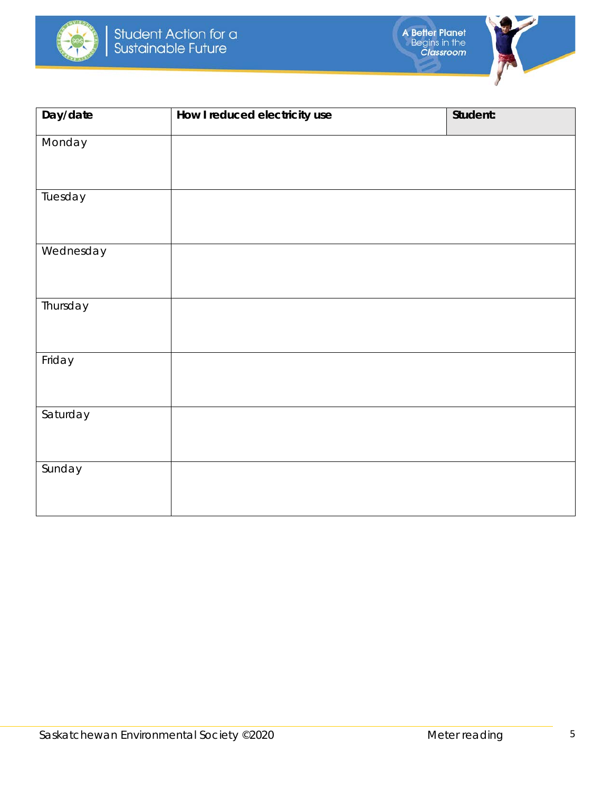





| Day/date  | How I reduced electricity use | Student: |
|-----------|-------------------------------|----------|
| Monday    |                               |          |
| Tuesday   |                               |          |
| Wednesday |                               |          |
| Thursday  |                               |          |
| Friday    |                               |          |
| Saturday  |                               |          |
| Sunday    |                               |          |
|           |                               |          |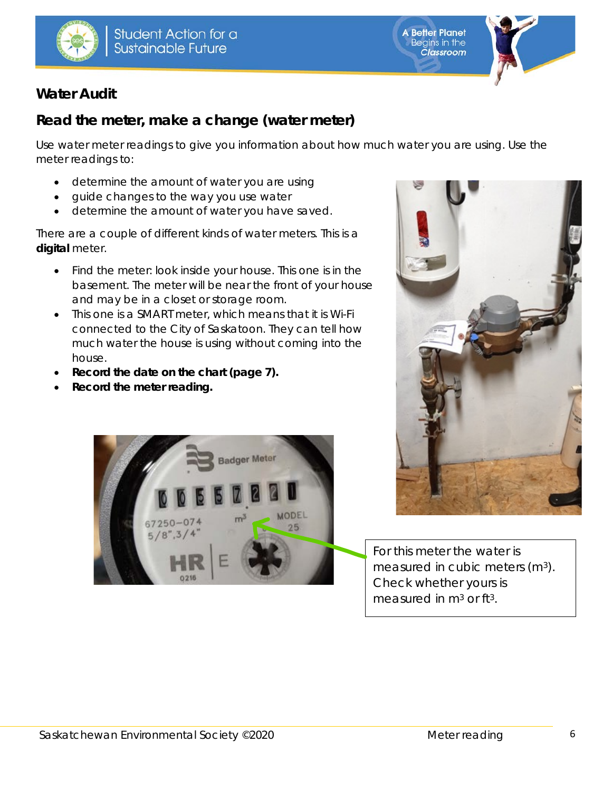





### **Water Audit**

## **Read the meter, make a change (water meter)**

Use water meter readings to give you information about how much water you are using. Use the meter readings to:

- determine the amount of water you are using
- guide changes to the way you use water
- determine the amount of water you have saved.

There are a couple of different kinds of water meters. This is a **digital** meter.

- Find the meter: look inside your house. This one is in the basement. The meter will be near the front of your house and may be in a closet or storage room.
- This one is a SMART meter, which means that it is Wi-Fi connected to the City of Saskatoon. They can tell how much water the house is using without coming into the house.
- **Record the date on the chart (page 7).**
- **Record the meter reading.**





For this meter the water is measured in cubic meters (m<sup>3</sup>). Check whether yours is measured in  $m<sup>3</sup>$  or ft<sup>3</sup>.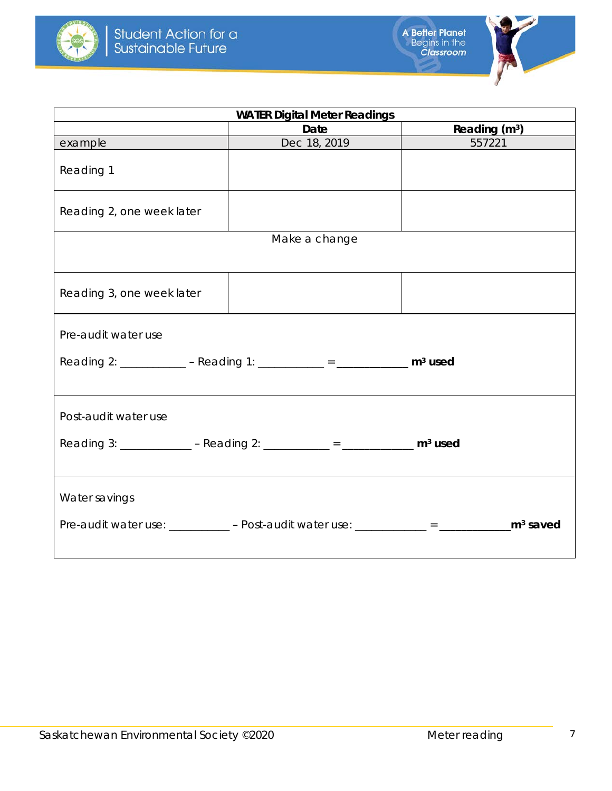



| <b>WATER Digital Meter Readings</b> |                                                                                      |                 |  |  |  |  |  |
|-------------------------------------|--------------------------------------------------------------------------------------|-----------------|--|--|--|--|--|
|                                     | Date                                                                                 | Reading $(m^3)$ |  |  |  |  |  |
| example                             | Dec 18, 2019                                                                         | 557221          |  |  |  |  |  |
| Reading 1                           |                                                                                      |                 |  |  |  |  |  |
| Reading 2, one week later           |                                                                                      |                 |  |  |  |  |  |
|                                     | Make a change                                                                        |                 |  |  |  |  |  |
|                                     |                                                                                      |                 |  |  |  |  |  |
| Reading 3, one week later           |                                                                                      |                 |  |  |  |  |  |
| Pre-audit water use                 |                                                                                      |                 |  |  |  |  |  |
|                                     | Reading 2: ___________ - Reading 1: __________ = ___________ m <sup>3</sup> used     |                 |  |  |  |  |  |
| Post-audit water use                |                                                                                      |                 |  |  |  |  |  |
|                                     | Reading 3: _____________ - Reading 2: __________ = _____________ m <sup>3</sup> used |                 |  |  |  |  |  |
| Water savings                       |                                                                                      |                 |  |  |  |  |  |
|                                     |                                                                                      |                 |  |  |  |  |  |
|                                     |                                                                                      |                 |  |  |  |  |  |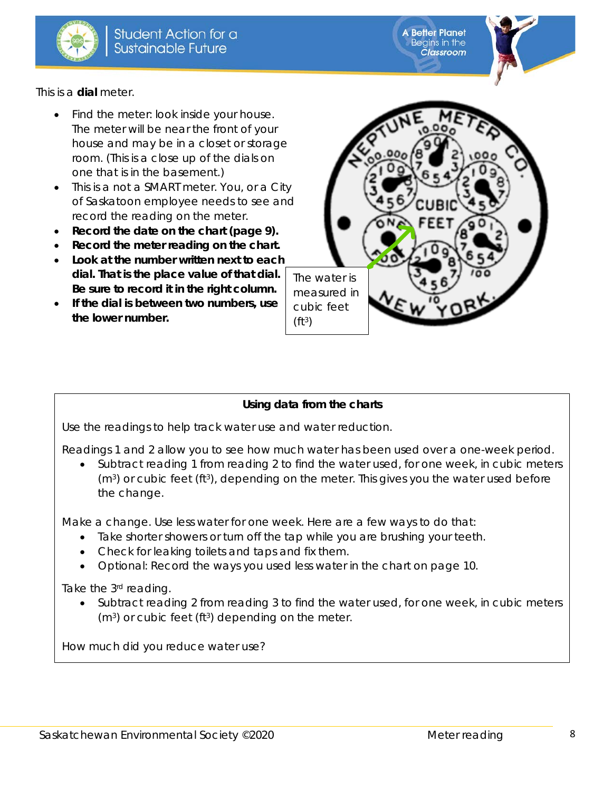

**A Better Planet** Begins in the **Classroom** 

This is a **dial** meter.

- Find the meter: look inside your house. The meter will be near the front of your house and may be in a closet or storage room. (This is a close up of the dials on one that is in the basement.)
- This is a not a SMART meter. You, or a City of Saskatoon employee needs to see and record the reading on the meter.
- **Record the date on the chart (page 9).**
- **Record the meter reading on the chart.**
- **Look at the number written next to each dial. That is the place value of that dial. Be sure to record it in the right column.**
- **If the dial is between two numbers, use the lower number.**



#### **Using data from the charts**

Use the readings to help track water use and water reduction.

Readings 1 and 2 allow you to see how much water has been used over a one-week period.

• Subtract reading 1 from reading 2 to find the water used, for one week, in cubic meters  $(m<sup>3</sup>)$  or cubic feet (ft<sup>3</sup>), depending on the meter. This gives you the water used before the change.

Make a change. Use less water for one week. Here are a few ways to do that:

- Take shorter showers or turn off the tap while you are brushing your teeth.
- Check for leaking toilets and taps and fix them.
- *Optional:* Record the ways you used less water in the chart on page 10.

Take the 3rd reading.

• Subtract reading 2 from reading 3 to find the water used, for one week, in cubic meters (m<sup>3</sup>) or cubic feet (ft<sup>3</sup>) depending on the meter.

How much did you reduce water use?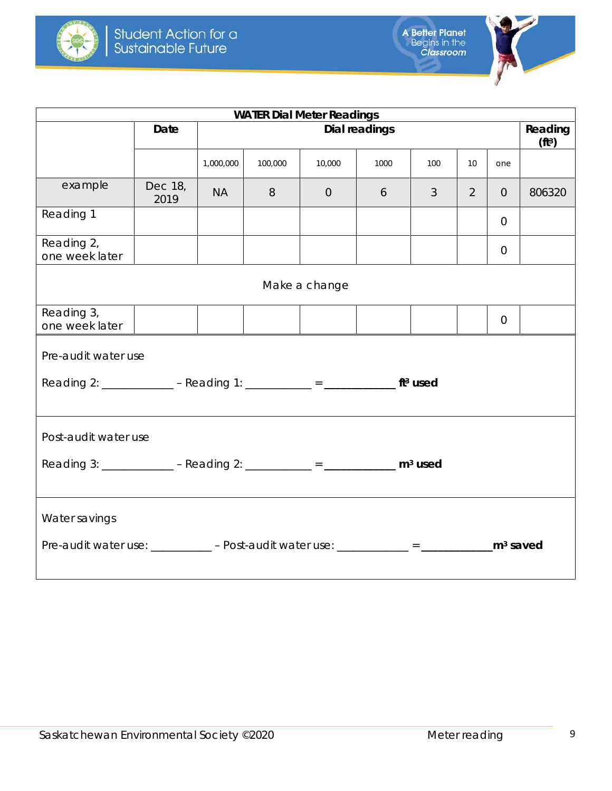



| <b>WATER Dial Meter Readings</b>                                                                                              |                 |               |         |                |      |                |                               |                |        |
|-------------------------------------------------------------------------------------------------------------------------------|-----------------|---------------|---------|----------------|------|----------------|-------------------------------|----------------|--------|
|                                                                                                                               | Date            | Dial readings |         |                |      |                | Reading<br>(f <sup>t3</sup> ) |                |        |
|                                                                                                                               |                 | 1,000,000     | 100,000 | 10,000         | 1000 | 100            | 10 <sup>°</sup>               | one            |        |
| example                                                                                                                       | Dec 18,<br>2019 | <b>NA</b>     | 8       | $\overline{0}$ | 6    | $\mathfrak{Z}$ | $\overline{2}$                | $\overline{0}$ | 806320 |
| Reading 1                                                                                                                     |                 |               |         |                |      |                |                               | $\overline{0}$ |        |
| Reading 2,<br>one week later                                                                                                  |                 |               |         |                |      |                |                               | $\Omega$       |        |
| Make a change                                                                                                                 |                 |               |         |                |      |                |                               |                |        |
| Reading 3,<br>one week later                                                                                                  |                 |               |         |                |      |                |                               | $\overline{0}$ |        |
| Pre-audit water use                                                                                                           |                 |               |         |                |      |                |                               |                |        |
| Reading 2: ____________ - Reading 1: _________ = ______________ ft <sup>3</sup> used                                          |                 |               |         |                |      |                |                               |                |        |
| Post-audit water use                                                                                                          |                 |               |         |                |      |                |                               |                |        |
| Reading 3: _____________ - Reading 2: __________ = _____________ m <sup>3</sup> used                                          |                 |               |         |                |      |                |                               |                |        |
| Water savings                                                                                                                 |                 |               |         |                |      |                |                               |                |        |
| Pre-audit water use: $\frac{1}{2}$ - Post-audit water use: $\frac{1}{2}$ = $\frac{1}{2}$ = $\frac{1}{2}$ m <sup>3</sup> saved |                 |               |         |                |      |                |                               |                |        |